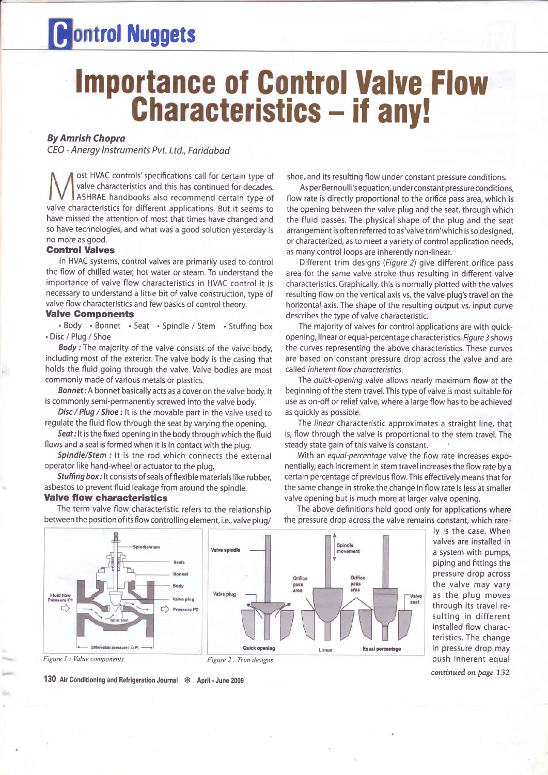# **Rontrol Nuggets**

# **District Valve Flow** lics – if any!

## By Amrish Chopra

CEO - Anergy lnstruments Pvt. Ltd., Foridabad

ost HVAC controls'specifications call for certain type of valve characteristics and this has continued for decades. ASHRAE handbooks also recommend certain type of valve characteristics for different applications. But it seems to have missed the attention of most that times have changed and so have technologies, and what was a good solution yesterday is no more as good.

### **Control Valves**

In HVAC systems, control valves are primarily used to control the flow of chilled water, hot water or steam. To understand the importance of valve flow characteristics in HVAC control it is necessary to understand a little bit of valve construction, type of valve flow characteristics and few basics of control theory.

### Valve Gomponents

. Body . Bonnet . Seat . Spindle / Stem . Stuffing box . Disc / Plug / Shoe

Body : The majority of the valve consists of the valve body, including most of the exterior. The valve body is the casing that holds the fluid going through the valve. Valve bodies are most commonly made of various metals or plastics.

Bonnet: A bonnet basically acts as a cover on the valve body. It is commonly semi-permanently screwed into the valve body.

Disc / Plug / Shoe : It is the movable part in the valve used to regulate the fluid flow through the seat by varying the opening.

Seat: It is the fixed opening in the body through which the fluid flows and a seal is formed when it is in contact with the plug.

Spindle/Stem : It is the rod which connects the external operator like hand-wheel or actuator to the plug.

Stuffing box: It consists of seals of flexible materials like rubber, asbestos to prevent fluid leakage from around the spindle.

# Valve flow characteristics

Figure 1 : Value components

**Fluid flow**<br>Pressure P

 $\Gamma$ 

The term valve flow characteristic refers to the relationship between the position of its flow controlling element, i.e., valve plug/

Rody

Valve plug

 $\Rightarrow$  Pressure P2

shoe, and its resulting flow under constant pressure conditions.

As per Bernoulli's equation, under constant pressure conditions, flow rate is directly proportional to the orifice pass area, which is the opening between the valve plug and the seat, through which the fluid passes. The physical shape of the plug and the seat arrangement is often referred to as'valve trim'which is so designed, or characterized, as to meet a variety of control application needs, as many control loops are inherently non-linear.

Different trim designs (Figure 2) give different orifice pass area for the same valve stroke thus resulting in different valve characteristics. Graphically, this is normally plotted with the valves resulting flow on the vertical axis vs. the valve plug's travel on the horizontal axis. The shape of the resulting output vs. input curve describes the type of valve characteristic.

The majority of valves for control applications are with quickopening, linear or equal-percentage characteristics. Figure 3 shows the curves representing the above characteristics. These curves are based on constant pressure drop across the valve and are called inherent flow characteristics.

The quick-opening valve allows nearly maximum flow at the beginning of the stem travel. This type of valve is most suitable for use as on-off or relief valve, where a large flow has to be achieved as quickly as possible.

The linear characteristic approximates a straight line, that is, flow through the valve is proportional to the stem travel, The steady state gain of this valve is constant.

With an equal-percentage valve the flow rate increases exponentially, each increment in stem travel increases the flow rate by a certain percentage of previous flow. This effectively means that for the same change in stroke the change in flow rate is less at smaller valve opening but is much more at larger valve opening.

The above definitions hold good only for applications where the pressure drop across the valve remains constant, which rare-

Valve

seat

ly is the case. When valves are installed in a system with pumps, piping and fittings the pressure drop across the valve may vary as the plug moves through its travel resulting in different installed flow characteristics. The change in pressure drop may push inherent equal



(4 Å ) ensays tells

Figure 2 : Trim designs

Quick opening Equal percentage Equal percentage

Orifica

pass

Orifice

pass<br>area

Valve spindl

Valve plug

continued on page 132